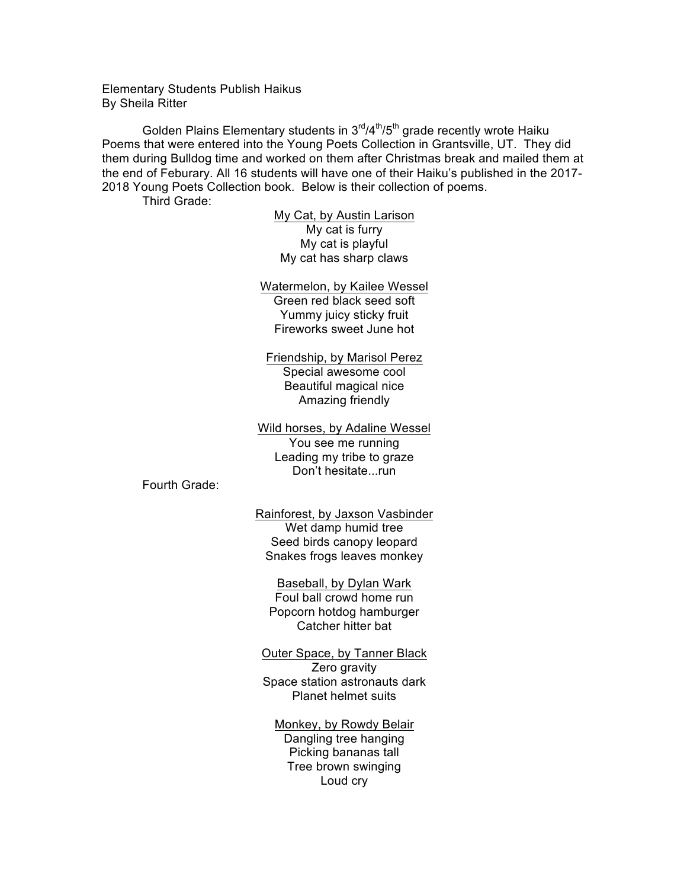Elementary Students Publish Haikus By Sheila Ritter

Golden Plains Elementary students in  $3<sup>rd</sup>/4<sup>th</sup>/5<sup>th</sup>$  grade recently wrote Haiku Poems that were entered into the Young Poets Collection in Grantsville, UT. They did them during Bulldog time and worked on them after Christmas break and mailed them at the end of Feburary. All 16 students will have one of their Haiku's published in the 2017- 2018 Young Poets Collection book. Below is their collection of poems. Third Grade:

> My Cat, by Austin Larison My cat is furry My cat is playful My cat has sharp claws

Watermelon, by Kailee Wessel Green red black seed soft Yummy juicy sticky fruit Fireworks sweet June hot

Friendship, by Marisol Perez Special awesome cool Beautiful magical nice Amazing friendly

Wild horses, by Adaline Wessel You see me running Leading my tribe to graze Don't hesitate...run

Fourth Grade:

Rainforest, by Jaxson Vasbinder Wet damp humid tree Seed birds canopy leopard Snakes frogs leaves monkey

Baseball, by Dylan Wark Foul ball crowd home run Popcorn hotdog hamburger Catcher hitter bat

Outer Space, by Tanner Black Zero gravity Space station astronauts dark Planet helmet suits

Monkey, by Rowdy Belair Dangling tree hanging Picking bananas tall Tree brown swinging Loud cry